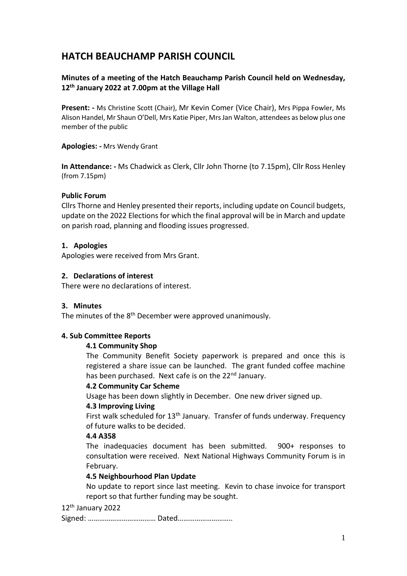# **HATCH BEAUCHAMP PARISH COUNCIL**

## **Minutes of a meeting of the Hatch Beauchamp Parish Council held on Wednesday, 12th January 2022 at 7.00pm at the Village Hall**

**Present: -** Ms Christine Scott (Chair), Mr Kevin Comer (Vice Chair), Mrs Pippa Fowler, Ms Alison Handel, Mr Shaun O'Dell, Mrs Katie Piper, Mrs Jan Walton, attendees as below plus one member of the public

**Apologies: -** Mrs Wendy Grant

**In Attendance: -** Ms Chadwick as Clerk, Cllr John Thorne (to 7.15pm), Cllr Ross Henley (from 7.15pm)

#### **Public Forum**

Cllrs Thorne and Henley presented their reports, including update on Council budgets, update on the 2022 Elections for which the final approval will be in March and update on parish road, planning and flooding issues progressed.

#### **1. Apologies**

Apologies were received from Mrs Grant.

#### **2. Declarations of interest**

There were no declarations of interest.

#### **3. Minutes**

The minutes of the 8<sup>th</sup> December were approved unanimously.

#### **4. Sub Committee Reports**

#### **4.1 Community Shop**

The Community Benefit Society paperwork is prepared and once this is registered a share issue can be launched. The grant funded coffee machine has been purchased. Next cafe is on the 22<sup>nd</sup> January.

#### **4.2 Community Car Scheme**

Usage has been down slightly in December. One new driver signed up.

#### **4.3 Improving Living**

First walk scheduled for 13<sup>th</sup> January. Transfer of funds underway. Frequency of future walks to be decided.

#### **4.4 A358**

The inadequacies document has been submitted.900+ responses to consultation were received. Next National Highways Community Forum is in February.

#### **4.5 Neighbourhood Plan Update**

No update to report since last meeting. Kevin to chase invoice for transport report so that further funding may be sought.

## 12th January 2022

Signed: ……………………………… Dated………………………..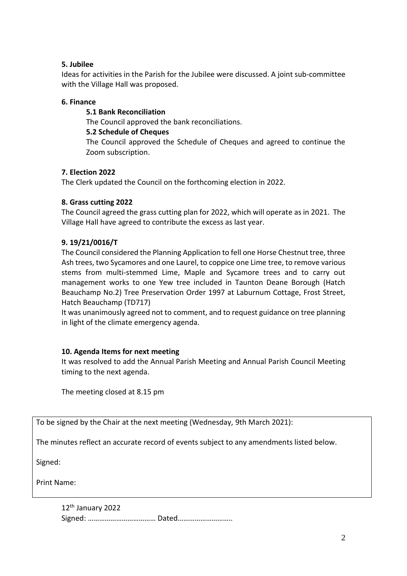## **5. Jubilee**

Ideas for activities in the Parish for the Jubilee were discussed. A joint sub-committee with the Village Hall was proposed.

## **6. Finance**

**5.1 Bank Reconciliation** The Council approved the bank reconciliations. **5.2 Schedule of Cheques** The Council approved the Schedule of Cheques and agreed to continue the Zoom subscription.

## **7. Election 2022**

The Clerk updated the Council on the forthcoming election in 2022.

## **8. Grass cutting 2022**

The Council agreed the grass cutting plan for 2022, which will operate as in 2021. The Village Hall have agreed to contribute the excess as last year.

## **9. 19/21/0016/T**

The Council considered the Planning Application to fell one Horse Chestnut tree, three Ash trees, two Sycamores and one Laurel, to coppice one Lime tree, to remove various stems from multi-stemmed Lime, Maple and Sycamore trees and to carry out management works to one Yew tree included in Taunton Deane Borough (Hatch Beauchamp No.2) Tree Preservation Order 1997 at Laburnum Cottage, Frost Street, Hatch Beauchamp (TD717)

It was unanimously agreed not to comment, and to request guidance on tree planning in light of the climate emergency agenda.

## **10. Agenda Items for next meeting**

It was resolved to add the Annual Parish Meeting and Annual Parish Council Meeting timing to the next agenda.

The meeting closed at 8.15 pm

To be signed by the Chair at the next meeting (Wednesday, 9th March 2021):

The minutes reflect an accurate record of events subject to any amendments listed below.

Signed:

Print Name:

12th January 2022 Signed: ……………………………… Dated………………………..